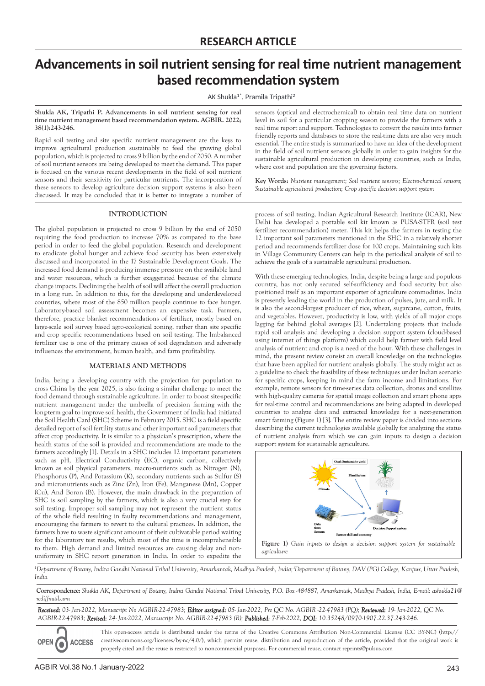# **Advancements in soil nutrient sensing for real time nutrient management based recommendation system**

AK Shukla1\*, Pramila Tripathi2

#### **Shukla AK, Tripathi P. Advancements in soil nutrient sensing for real time nutrient management based recommendation system. AGBIR. 2022; 38(1):243-246.**

Rapid soil testing and site specific nutrient management are the keys to improve agricultural production sustainably to feed the growing global population, which is projected to cross 9 billion by the end of 2050. A number of soil nutrient sensors are being developed to meet the demand. This paper is focused on the various recent developments in the field of soil nutrient sensors and their sensitivity for particular nutrients. The incorporation of these sensors to develop agriculture decision support systems is also been discussed. It may be concluded that it is better to integrate a number of

# **INTRODUCTION**

The global population is projected to cross 9 billion by the end of 2050 requiring the food production to increase 70% as compared to the base period in order to feed the global population. Research and development to eradicate global hunger and achieve food security has been extensively discussed and incorporated in the 17 Sustainable Development Goals. The increased food demand is producing immense pressure on the available land and water resources, which is further exaggerated because of the climate change impacts. Declining the health of soil will affect the overall production in a long run. In addition to this, for the developing and underdeveloped countries, where most of the 850 million people continue to face hunger. Laboratory-based soil assessment becomes an expensive task. Farmers, therefore, practice blanket recommendations of fertilizer, mostly based on large-scale soil survey based agro-ecological zoning, rather than site specific and crop specific recommendations based on soil testing. The Imbalanced fertilizer use is one of the primary causes of soil degradation and adversely influences the environment, human health, and farm profitability.

# **MATERIALS AND METHODS**

India, being a developing country with the projection for population to cross China by the year 2025, is also facing a similar challenge to meet the food demand through sustainable agriculture. In order to boost site-specific nutrient management under the umbrella of precision farming with the long-term goal to improve soil health, the Government of India had initiated the Soil Health Card (SHC) Scheme in February 2015. SHC is a field specific detailed report of soil fertility status and other important soil parameters that affect crop productivity. It is similar to a physician's prescription, where the health status of the soil is provided and recommendations are made to the farmers accordingly [1]. Details in a SHC includes 12 important parameters such as pH, Electrical Conductivity (EC), organic carbon, collectively known as soil physical parameters, macro-nutrients such as Nitrogen (N), Phosphorus (P), And Potassium (K), secondary nutrients such as Sulfur (S) and micronutrients such as Zinc (Zn), Iron (Fe), Manganese (Mn), Copper (Cu), And Boron (B). However, the main drawback in the preparation of SHC is soil sampling by the farmers, which is also a very crucial step for soil testing. Improper soil sampling may not represent the nutrient status of the whole field resulting in faulty recommendations and management, encouraging the farmers to revert to the cultural practices. In addition, the farmers have to waste significant amount of their cultivatable period waiting for the laboratory test results, which most of the time is incomprehensible to them. High demand and limited resources are causing delay and nonuniformity in SHC report generation in India. In order to expedite the

sensors (optical and electrochemical) to obtain real time data on nutrient level in soil for a particular cropping season to provide the farmers with a real time report and support. Technologies to convert the results into farmer friendly reports and databases to store the real-time data are also very much essential. The entire study is summarized to have an idea of the development in the field of soil nutrient sensors globally in order to gain insights for the sustainable agricultural production in developing countries, such as India, where cost and population are the governing factors.

**Key Words:** *Nutrient management; Soil nutrient sensors; Electro-chemical sensors; Sustainable agricultural production; Crop specific decision support system*

process of soil testing, Indian Agricultural Research Institute (ICAR), New Delhi has developed a portable soil kit known as PUSA-STFR (soil test fertilizer recommendation) meter. This kit helps the farmers in testing the 12 important soil parameters mentioned in the SHC in a relatively shorter period and recommends fertilizer dose for 100 crops. Maintaining such kits in Village Community Centers can help in the periodical analysis of soil to achieve the goals of a sustainable agricultural production.

With these emerging technologies, India, despite being a large and populous country, has not only secured self-sufficiency and food security but also positioned itself as an important exporter of agriculture commodities. India is presently leading the world in the production of pulses, jute, and milk. It is also the second-largest producer of rice, wheat, sugarcane, cotton, fruits, and vegetables. However, productivity is low, with yields of all major crops lagging far behind global averages [2]. Undertaking projects that include rapid soil analysis and developing a decision support system (cloud-based using internet of things platform) which could help farmer with field level analysis of nutrient and crop is a need of the hour. With these challenges in mind, the present review consist an overall knowledge on the technologies that have been applied for nutrient analysis globally. The study might act as a guideline to check the feasibility of these techniques under Indian scenario for specific crops, keeping in mind the farm income and limitations. For example, remote sensors for time-series data collection, drones and satellites with high-quality cameras for spatial image collection and smart phone apps for real-time control and recommendations are being adapted in developed countries to analyze data and extracted knowledge for a next-generation smart farming (Figure 1) [3]. The entire review paper is divided into sections describing the current technologies available globally for analyzing the status of nutrient analysis from which we can gain inputs to design a decision support system for sustainable agriculture.



<sup>1</sup>Department of Botany, Indira Gandhi National Tribal University, Amarkantak, Madhya Pradesh, India; <sup>2</sup>Department of Botany, DAV (PG) College, Kanpur, Uttar Pradesh, *India*

**Correspondence:** *Shukla AK, Department of Botany, Indira Gandhi National Tribal University, P.O. Box -484887, Amarkantak, Madhya Pradesh, India, E-mail: ashukla21@ rediffmail.com*

*Received: 03- Jan-2022, Manuscript No AGBIR-22-47983; Editor assigned: 05- Jan-2022, Pre QC No. AGBIR -22-47983 (PQ); Reviewed: 19- Jan-2022, QC No. AGBIR-22-47983; Revised: 24- Jan-2022, Manuscript No. AGBIR-22-47983 (R); Published: 7-Feb-2022, DOI: 10.35248/0970-1907.22.37.243-246.*

This open-access article is distributed under the terms of the Creative Commons Attribution Non-Commercial License (CC BY-NC) (http:// creativecommons.org/licenses/by-nc/4.0/), which permits reuse, distribution and reproduction of the article, provided that the original work is **ACCESS** properly cited and the reuse is restricted to noncommercial purposes. For commercial reuse, contact reprints@pulsus.com

**OPEN**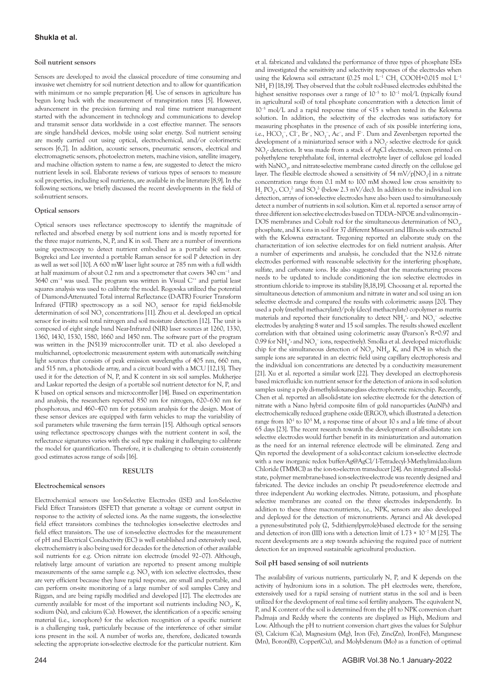#### **Soil nutrient sensors**

Sensors are developed to avoid the classical procedure of time consuming and invasive wet chemistry for soil nutrient detection and to allow for quantification with minimum or no sample preparation [4]. Use of sensors in agriculture has begun long back with the measurement of transpiration rates [5]. However, advancement in the precision farming and real time nutrient management started with the advancement in technology and communications to develop and transmit sensor data worldwide in a cost effective manner. The sensors are single hand-held devices, mobile using solar energy. Soil nutrient sensing are mostly carried out using optical, electrochemical, and/or colorimetric sensors [6,7]. In addition, acoustic sensors, pneumatic sensors, electrical and electromagnetic sensors, photoelectron meters, machine vision, satellite imagery, and machine olfaction system to name a few, are suggested to detect the micro nutrient levels in soil. Elaborate reviews of various types of sensors to measure soil properties, including soil nutrients, are available in the literature [8,9]. In the following sections, we briefly discussed the recent developments in the field of soil-nutrient sensors.

### **Optical sensors**

Optical sensors uses reflectance spectroscopy to identify the magnitude of reflected and absorbed energy by soil nutrient ions and is mostly reported for the three major nutrients, N, P, and K in soil. There are a number of inventions using spectroscopy to detect nutrient embodied as a portable soil sensor. Bogrekci and Lee invented a portable Raman sensor for soil P detection in dry as well as wet soil [10]. A 600 mW laser light source at 785 nm with a full width at half maximum of about 0.2 nm and a spectrometer that covers 340 cm<sup>−</sup><sup>1</sup> and 3640 cm<sup>-1</sup> was used. The program was written in Visual C<sup>++</sup> and partial least squares analysis was used to calibrate the model. Rogovska utilized the potential of Diamond-Attenuated Total internal Reflectance (D-ATR) Fourier Transform Infrared (FTIR) spectroscopy as a soil NO<sub>3</sub> sensor for rapid field-mobile determination of soil  $NO_3$  concentrations [11]. Zhou et al. developed an optical sensor for in-situ soil total nitrogen and soil moisture detection [12]. The unit is composed of eight single band Near-Infrared (NIR) laser sources at 1260, 1330, 1360, 1430, 1530, 1580, 1660 and 1450 nm. The software part of the program was written in the JN5139 microcontroller unit. TD et al. also developed a multichannel, optoelectronic measurement system with automatically switching light sources that consists of peak emission wavelengths of 405 nm, 660 nm, and 515 nm, a photodiode array, and a circuit board with a MCU [12,13]. They used it for the detection of N, P, and K content in six soil samples. Mukherjee and Laskar reported the design of a portable soil nutrient detector for N, P, and K based on optical sensors and microcontroller [14]. Based on experimentation and analysis, the researchers reported 850 nm for nitrogen, 620–630 nm for phosphorous, and 460–470 nm for potassium analysis for the design. Most of these sensor devices are equipped with farm vehicles to map the variability of soil parameters while traversing the farm terrain [15]. Although optical sensors using reflectance spectroscopy changes with the nutrient content in soil, the reflectance signatures varies with the soil type making it challenging to calibrate the model for quantification. Therefore, it is challenging to obtain consistently good estimates across range of soils [16].

### **RESULTS**

#### **Electrochemical sensors**

Electrochemical sensors use Ion-Selective Electrodes (ISE) and Ion-Selective Field Effect Transistors (ISFET) that generate a voltage or current output in response to the activity of selected ions. As the name suggests, the ion-selective field effect transistors combines the technologies ion-selective electrodes and field effect transistors. The use of ion-selective electrodes for the measurement of pH and Electrical Conductivity (EC) is well established and extensively used, electrochemistry is also being used for decades for the detection of other available soil nutrients for e.g. Orion nitrate ion electrode (model 92–07). Although, relatively large amount of variation are reported to present among multiple measurements of the same sample e.g.  $NO<sub>3</sub>$  with ion selective electrodes, these are very efficient because they have rapid response, are small and portable, and can perform on-site monitoring of a large number of soil samples Carey and Riggan, and are being rapidly modified and developed [17]. The electrodes are currently available for most of the important soil nutrients including  $NO_3$ , K, sodium (Na), and calcium (Ca). However, the identification of a specific sensing material (i.e., ionophore) for the selection recognition of a specific nutrient is a challenging task, particularly because of the interference of other similar ions present in the soil. A number of works are, therefore, dedicated towards selecting the appropriate ion-selective electrode for the particular nutrient. Kim

et al. fabricated and validated the performance of three types of phosphate ISEs and investigated the sensitivity and selectivity responses of the electrodes when using the Kelowna soil extractant (0.25 mol L<sup>-1</sup> CH<sub>3</sub> COOH+0.015 mol L<sup>-1</sup> NH4 F) [18,19]. They observed that the cobalt rod-based electrodes exhibited the highest sensitive responses over a range of 10<sup>-5</sup> to 10<sup>-1</sup> mol/L (typically found in agricultural soil) of total phosphate concentration with a detection limit of 10<sup>−</sup><sup>5</sup> mol/L and a rapid response time of <15 s when tested in the Kelowna solution. In addition, the selectivity of the electrodes was satisfactory for measuring phosphates in the presence of each of six possible interfering ions, i.e., HCO<sub>3</sub><sup>-</sup>, Cl<sup>-</sup>, Br<sup>-</sup>, NO<sub>3</sub><sup>-</sup>, Ac<sup>-</sup>, and F<sup>-</sup>. Dam and Zevenbergen reported the development of a miniaturized sensor with a  $NO_3^-$  selective electrode for quick NO<sub>3</sub> detection. It was made from a stack of AgCl electrode, screen printed on polyethylene terephthalate foil, internal electrolyte layer of cellulose gel loaded with NaNO<sub>3</sub>, and nitrate-selective membrane casted directly on the cellulose gel layer. The flexible electrode showed a sensitivity of 54 mV/p[NO<sub>3</sub>-] in a nitrate concentration range from 0.1 mM to 100 mM showed low cross sensitivity to  $H_2$  PO<sub>4</sub><sup>2</sup>, CO<sub>2</sub><sup>2</sup> and SO<sub>4</sub><sup>2</sup> (below 2.3 mV/dec). In addition to the individual ion detection, arrays of ion-selective electrodes have also been used to simultaneously detect a number of nutrients in soil solution. Kim et al. reported a sensor array of three different ion selective electrodes based on TDDA–NPOE and valinomycin– DOS membranes and Cobalt rod for the simultaneous determination of  $\mathrm{NO}_3$ , phosphate, and K ions in soil for 37 different Missouri and Illinois soils extracted with the Kelowna extractant. Tregoning reported an elaborate study on the characterization of ion selective electrodes for on field nutrient analysis. After a number of experiments and analysis, he concluded that the N32.6 nitrate electrodes performed with reasonable selectivity for the interfering phosphate, sulfate, and carbonate ions. He also suggested that the manufacturing process needs to be updated to include conditioning the ion selective electrodes in strontium chloride to improve its stability [8,18,19]. Choosang et al. reported the simultaneous detection of ammonium and nitrate in water and soil using an ion selective electrode and compared the results with colorimetric assays [20]. They used a poly (methyl methacrylate)/poly (decyl methacrylate) copolymer as matrix materials and reported their functionality to detect  $NH_4^*$  and  $NO_3^-$  -selective electrodes by analyzing 8 water and 15 soil samples. The results showed excellent correlation with that obtained using colorimetric assay (Pearson's R=0.97 and 0.99 for  $NH_4^+$  and  $NO_3^-$  ions, respectively). Smolka et al. developed microfluidic chip for the simultaneous detection of  $NO_3$ ,  $NH_4$ , K, and PO4 in which the sample ions are separated in an electric field using capillary electrophoresis and the individual ion concentrations are detected by a conductivity measurement [21]. Xu et al. reported a similar work [22]. They developed an electrophoresis based microfluidic ion nutrient sensor for the detection of anions in soil solution samples using a poly di-methylsiloxane-glass electrophoretic microchip. Recently, Chen et al. reported an all-solid-state ion selective electrode for the detection of nitrate with a Nano hybrid composite film of gold nanoparticles (AuNPs) and electrochemically reduced graphene oxide (ERGO), which illustrated a detection range from  $10^1$  to  $10^5$  M, a response time of about 10 s and a life time of about 65 days [23]. The recent research towards the development of all-solid-state ion selective electrodes would further benefit in its miniaturization and automation as the need for an internal reference electrode will be eliminated. Zeng and Qin reported the development of a solid-contact calcium ion-selective electrode with a new inorganic redox buffer-Ag@AgCl/1-Tetradecyl-3-Methylimidazolium Chloride (TMMCl) as the ion-to-electron transducer [24]. An integrated all-solidstate, polymer membrane-based ion-selective-electrode was recently designed and fabricated. The device includes an on-chip Pt pseudo-reference electrode and three independent Au working electrodes. Nitrate, potassium, and phosphate selective membranes are coated on the three electrodes independently. In addition to these three macronutrients, i.e., NPK, sensors are also developed and deployed for the detection of micronutrients. Ayranci and Ak developed a pyrene-substituted poly (2, 5-dithienylpyrrole)-based electrode for the sensing and detection of iron (III) ions with a detection limit of 1.73 × 10<sup>−</sup><sup>7</sup> M [25]. The recent developments are a step towards achieving the required pace of nutrient detection for an improved sustainable agricultural production.

#### **Soil pH based sensing of soil nutrients**

The availability of various nutrients, particularly N, P, and K depends on the activity of hydronium ions in a solution. The pH electrodes were, therefore, extensively used for a rapid sensing of nutrient status in the soil and is been utilized for the development of real time soil fertility analyzers. The equivalent N, P, and K content of the soil is determined from the pH to NPK conversion chart Padmaja and Reddy where the contents are displayed as High, Medium and Low. Although the pH to nutrient conversion chart gives the values for Sulphur (S), Calcium (Ca), Magnesium (Mg), Iron (Fe), Zinc(Zn), Iron(Fe), Manganese (Mn), Boron(B), Copper(Cu), and Molybdenum (Mo) as a function of optimal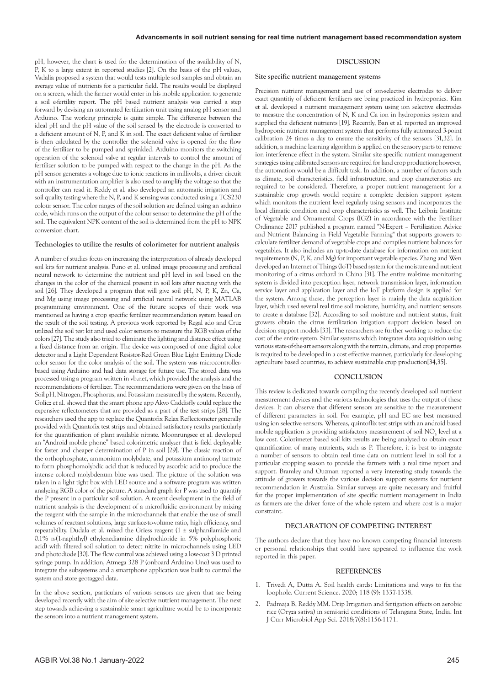#### pH, however, the chart is used for the determination of the availability of N, P, K to a large extent in reported studies [2]. On the basis of the pH values, Vadalia proposed a system that would tests multiple soil samples and obtain an average value of nutrients for a particular field. The results would be displayed on a screen, which the farmer would enter in his mobile application to generate a soil e-fertility report. The pH based nutrient analysis was carried a step forward by devising an automated fertilization unit using analog pH sensor and Arduino. The working principle is quite simple. The difference between the ideal pH and the pH value of the soil sensed by the electrode is converted to a deficient amount of N, P, and K in soil. The exact deficient value of fertilizer is then calculated by the controller the solenoid valve is opened for the flow of the fertilizer to be pumped and sprinkled. Arduino monitors the switching operation of the solenoid valve at regular intervals to control the amount of fertilizer solution to be pumped with respect to the change in the pH. As the pH sensor generates a voltage due to ionic reactions in millivolts, a driver circuit with an instrumentation amplifier is also used to amplify the voltage so that the controller can read it. Reddy et al. also developed an automatic irrigation and soil quality testing where the N, P, and K sensing was conducted using a TCS230 colour sensor. The color ranges of the soil solution are defined using an arduino code, which runs on the output of the colour sensor to determine the pH of the soil. The equivalent NPK content of the soil is determined from the pH to NPK conversion chart.

## **Technologies to utilize the results of colorimeter for nutrient analysis**

A number of studies focus on increasing the interpretation of already developed soil kits for nutrient analysis. Puno et al. utilized image processing and artificial neural network to determine the nutrient and pH level in soil based on the changes in the color of the chemical present in soil kits after reacting with the soil [26]. They developed a program that will give soil pH, N, P, K, Zn, Ca, and Mg using image processing and artificial neural network using MATLAB programming environment. One of the future scopes of their work was mentioned as having a crop specific fertilizer recommendation system based on the result of the soil testing. A previous work reported by Regal ado and Cruz utilized the soil test kit and used color sensors to measure the RGB values of the colors [27]. The study also tried to eliminate the lighting and distance effect using a fixed distance from an origin. The device was composed of one digital color detector and a Light Dependent Resistor-Red Green Blue Light Emitting Diode color sensor for the color analysis of the soil. The system was microcontrollerbased using Arduino and had data storage for future use. The stored data was processed using a program written in vb.net, which provided the analysis and the recommendations of fertilizer. The recommendations were given on the basis of Soil pH, Nitrogen, Phosphorus, and Potassium measured by the system. Recently, Golicz et al. showed that the smart phone app Akvo Caddisfly could replace the expensive reflectometers that are provided as a part of the test strips [28]. The researchers used the app to replace the Quantofix Relax Reflectometer generally provided with Quantofix test strips and obtained satisfactory results particularly for the quantification of plant available nitrate. Moonrungsee et al. developed an "Android mobile phone" based colorimetric analyzer that is field deployable for faster and cheaper determination of P in soil [29]. The classic reaction of the orthophosphate, ammonium molybdate, and potassium antimonyl tartrate to form phosphomolybdic acid that is reduced by ascorbic acid to produce the intense colored molybdenum blue was used. The picture of the solution was taken in a light tight box with LED source and a software program was written analyzing RGB color of the picture. A standard graph for P was used to quantify the P present in a particular soil solution. A recent development in the field of nutrient analysis is the development of a microfluidic environment by mixing the reagent with the sample in the micro-channels that enable the use of small volumes of reactant solutions, large surface-to-volume ratio, high efficiency, and repeatability. Dudala et al. mixed the Griess reagent (1 ± sulphanilamide and 0.1% n-(1-naphthyl) ethylenediamine dihydrochloride in 5% polyphosphoric acid) with filtered soil solution to detect nitrite in micro-channels using LED and photodiode [30]. The flow control was achieved using a low-cost 3 D printed syringe pump. In addition, Atmega 328 P (onboard Arduino Uno) was used to integrate the subsystems and a smartphone application was built to control the system and store geotagged data.

In the above section, particulars of various sensors are given that are being developed recently with the aim of site selective nutrient management. The next step towards achieving a sustainable smart agriculture would be to incorporate the sensors into a nutrient management system.

## **DISCUSSION**

#### **Site specific nutrient management systems**

Precision nutrient management and use of ion-selective electrodes to deliver exact quantitiy of deficient fertilizers are being practiced in hydroponics. Kim et al. developed a nutrient management system using ion selective electrodes to measure the concentration of N, K and Ca ion in hydroponics system and supplied the deficient nutrients [19]. Recently, Ban et al. reported an improved hydroponic nutrient management system that performs fully automated 3-point calibration 24 times a day to ensure the sensitivity of the sensors [31,32]. In addition, a machine learning algorithm is applied on the sensory parts to remove ion interference effect in the system. Similar site specific nutrient management strategies using calibrated sensors are required for land crop production; however, the automation would be a difficult task. In addition, a number of factors such as climate, soil characteristics, field infrastructure, and crop characteristics are required to be considered. Therefore, a proper nutrient management for a sustainable crop growth would require a complete decision support system which monitors the nutrient level regularly using sensors and incorporates the local climatic condition and crop characteristics as well. The Leibniz Institute of Vegetable and Ornamental Crops (IGZ) in accordance with the Fertilizer Ordinance 2017 published a program named "N-Expert – Fertilization Advice and Nutrient Balancing in Field Vegetable Farming" that supports growers to calculate fertilizer demand of vegetable crops and compiles nutrient balances for vegetables. It also includes an up-to-date database for information on nutrient requirements (N, P, K, and Mg) for important vegetable species. Zhang and Wen developed an Internet of Things (IoT) based system for the moisture and nutrient monitoring of a citrus orchard in China [31]. The entire real-time monitoring system is divided into perception layer, network transmission layer, information service layer and application layer and the IoT platform design is applied for the system. Among these, the perception layer is mainly the data acquisition layer, which used several real time soil moisture, humidity, and nutrient sensors to create a database [32]. According to soil moisture and nutrient status, fruit growers obtain the citrus fertilization irrigation support decision based on decision support models [33]. The researchers are further working to reduce the cost of the entire system. Similar systems which integrates data acquisition using various state-of-the-art sensors along with the terrain, climate, and crop properties is required to be developed in a cost effective manner, particularly for developing agriculture based countries, to achieve sustainable crop production[34,35].

## **CONCLUSION**

This review is dedicated towards compiling the recently developed soil nutrient measurement devices and the various technologies that uses the output of these devices. It can observe that different sensors are sensitive to the measurement of different parameters in soil. For example, pH and EC are best measured using ion selective sensors. Whereas, quintoflix test strips with an android based mobile application is providing satisfactory measurement of soil  $NO<sub>3</sub>$  level at a low cost. Colorimeter based soil kits results are being analyzed to obtain exact quantification of many nutrients, such as P. Therefore, it is best to integrate a number of sensors to obtain real time data on nutrient level in soil for a particular cropping season to provide the farmers with a real time report and support. Bramley and Ouzman reported a very interesting study towards the attitude of growers towards the various decision support systems for nutrient recommendation in Australia. Similar surveys are quite necessary and fruitful for the proper implementation of site specific nutrient management in India as farmers are the driver force of the whole system and where cost is a major constraint.

## **DECLARATION OF COMPETING INTEREST**

The authors declare that they have no known competing financial interests or personal relationships that could have appeared to influence the work reported in this paper.

#### **REFERENCES**

- 1. Trivedi A, Dutta A. [Soil health cards: Limitations and ways to fix the](http://krishi.icar.gov.in/jspui/bitstream/123456789/38913/1/current science Ankita.pdf)  [loophole.](http://krishi.icar.gov.in/jspui/bitstream/123456789/38913/1/current science Ankita.pdf) Current Science. 2020; 118 (9): 1337-1338.
- 2. Padmaja B, Reddy MM. [Drip Irrigation and fertigation effects on aerobic](https://www.researchgate.net/profile/Maduri-Mallareddy/publication/349278595_Drip_Irrigation_and_Fertigation_Effects_on_Aerobic_Rice_Oryza_sativa_in_Semi_-_Arid_Conditions_of_Telangana_State_India/links/60277f7992851c4ed56abea8/Drip-Irrigation-and-Fertigation-Effects-on-Aerobic-Rice-Oryza-sativa-in-Semi-Arid-Conditions-of-Telangana-State-India.pdf)  [rice \(Oryza sativa\) in semi-arid conditions of Telangana State, India.](https://www.researchgate.net/profile/Maduri-Mallareddy/publication/349278595_Drip_Irrigation_and_Fertigation_Effects_on_Aerobic_Rice_Oryza_sativa_in_Semi_-_Arid_Conditions_of_Telangana_State_India/links/60277f7992851c4ed56abea8/Drip-Irrigation-and-Fertigation-Effects-on-Aerobic-Rice-Oryza-sativa-in-Semi-Arid-Conditions-of-Telangana-State-India.pdf) Int J Curr Microbiol App Sci. 2018;7(8):1156-1171.